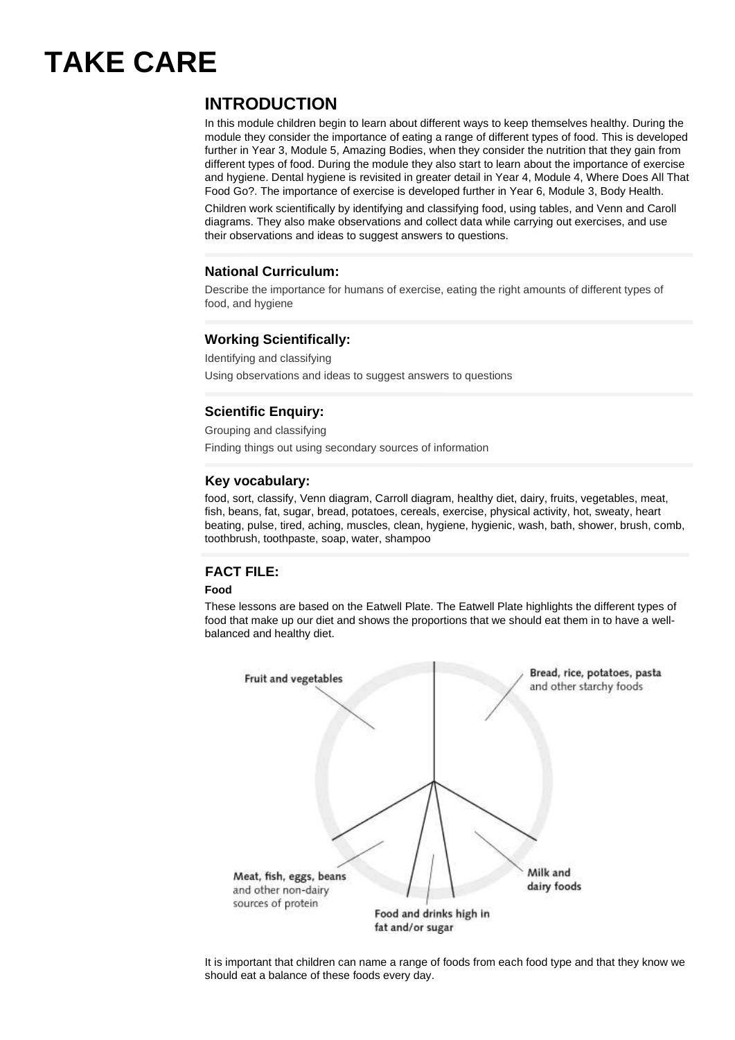# **TAKE CARE**

# **INTRODUCTION**

In this module children begin to learn about different ways to keep themselves healthy. During the module they consider the importance of eating a range of different types of food. This is developed further in Year 3, Module 5, Amazing Bodies, when they consider the nutrition that they gain from different types of food. During the module they also start to learn about the importance of exercise and hygiene. Dental hygiene is revisited in greater detail in Year 4, Module 4, Where Does All That Food Go?. The importance of exercise is developed further in Year 6, Module 3, Body Health.

Children work scientifically by identifying and classifying food, using tables, and Venn and Caroll diagrams. They also make observations and collect data while carrying out exercises, and use their observations and ideas to suggest answers to questions.

### **National Curriculum:**

Describe the importance for humans of exercise, eating the right amounts of different types of food, and hygiene

### **Working Scientifically:**

Identifying and classifying Using observations and ideas to suggest answers to questions

# **Scientific Enquiry:**

Grouping and classifying Finding things out using secondary sources of information

#### **Key vocabulary:**

food, sort, classify, Venn diagram, Carroll diagram, healthy diet, dairy, fruits, vegetables, meat, fish, beans, fat, sugar, bread, potatoes, cereals, exercise, physical activity, hot, sweaty, heart beating, pulse, tired, aching, muscles, clean, hygiene, hygienic, wash, bath, shower, brush, comb, toothbrush, toothpaste, soap, water, shampoo

# **FACT FILE:**

#### **Food**

These lessons are based on the Eatwell Plate. The Eatwell Plate highlights the different types of food that make up our diet and shows the proportions that we should eat them in to have a wellbalanced and healthy diet.



It is important that children can name a range of foods from each food type and that they know we should eat a balance of these foods every day.